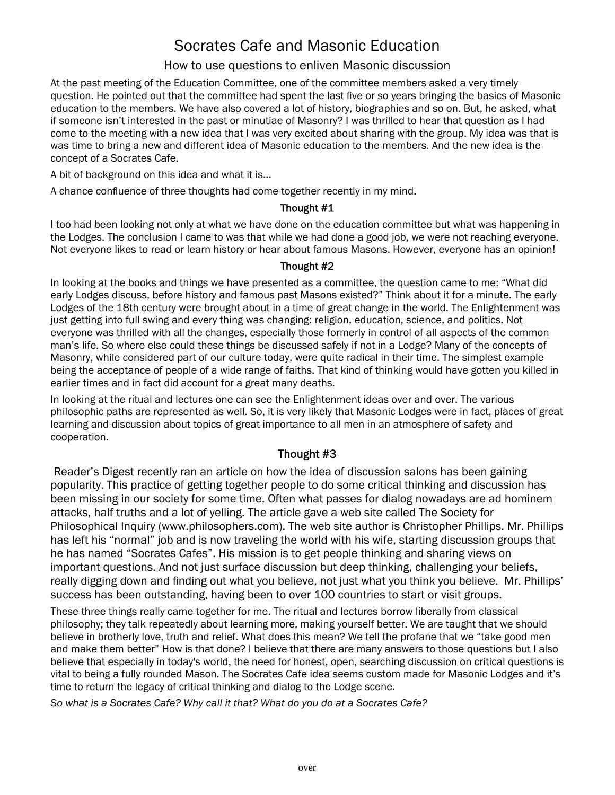# Socrates Cafe and Masonic Education

# How to use questions to enliven Masonic discussion

At the past meeting of the Education Committee, one of the committee members asked a very timely question. He pointed out that the committee had spent the last five or so years bringing the basics of Masonic education to the members. We have also covered a lot of history, biographies and so on. But, he asked, what if someone isn't interested in the past or minutiae of Masonry? I was thrilled to hear that question as I had come to the meeting with a new idea that I was very excited about sharing with the group. My idea was that is was time to bring a new and different idea of Masonic education to the members. And the new idea is the concept of a Socrates Cafe.

A bit of background on this idea and what it is...

A chance confluence of three thoughts had come together recently in my mind.

# Thought #1

I too had been looking not only at what we have done on the education committee but what was happening in the Lodges. The conclusion I came to was that while we had done a good job, we were not reaching everyone. Not everyone likes to read or learn history or hear about famous Masons. However, everyone has an opinion!

#### Thought #2

In looking at the books and things we have presented as a committee, the question came to me: "What did early Lodges discuss, before history and famous past Masons existed?" Think about it for a minute. The early Lodges of the 18th century were brought about in a time of great change in the world. The Enlightenment was just getting into full swing and every thing was changing: religion, education, science, and politics. Not everyone was thrilled with all the changes, especially those formerly in control of all aspects of the common man's life. So where else could these things be discussed safely if not in a Lodge? Many of the concepts of Masonry, while considered part of our culture today, were quite radical in their time. The simplest example being the acceptance of people of a wide range of faiths. That kind of thinking would have gotten you killed in earlier times and in fact did account for a great many deaths.

In looking at the ritual and lectures one can see the Enlightenment ideas over and over. The various philosophic paths are represented as well. So, it is very likely that Masonic Lodges were in fact, places of great learning and discussion about topics of great importance to all men in an atmosphere of safety and cooperation.

# Thought #3

 Reader's Digest recently ran an article on how the idea of discussion salons has been gaining popularity. This practice of getting together people to do some critical thinking and discussion has been missing in our society for some time. Often what passes for dialog nowadays are ad hominem attacks, half truths and a lot of yelling. The article gave a web site called The Society for Philosophical Inquiry (www.philosophers.com). The web site author is Christopher Phillips. Mr. Phillips has left his "normal" job and is now traveling the world with his wife, starting discussion groups that he has named "Socrates Cafes". His mission is to get people thinking and sharing views on important questions. And not just surface discussion but deep thinking, challenging your beliefs, really digging down and finding out what you believe, not just what you think you believe. Mr. Phillips' success has been outstanding, having been to over 100 countries to start or visit groups.

These three things really came together for me. The ritual and lectures borrow liberally from classical philosophy; they talk repeatedly about learning more, making yourself better. We are taught that we should believe in brotherly love, truth and relief. What does this mean? We tell the profane that we "take good men and make them better" How is that done? I believe that there are many answers to those questions but I also believe that especially in today's world, the need for honest, open, searching discussion on critical questions is vital to being a fully rounded Mason. The Socrates Cafe idea seems custom made for Masonic Lodges and it's time to return the legacy of critical thinking and dialog to the Lodge scene.

*So what is a Socrates Cafe? Why call it that? What do you do at a Socrates Cafe?*